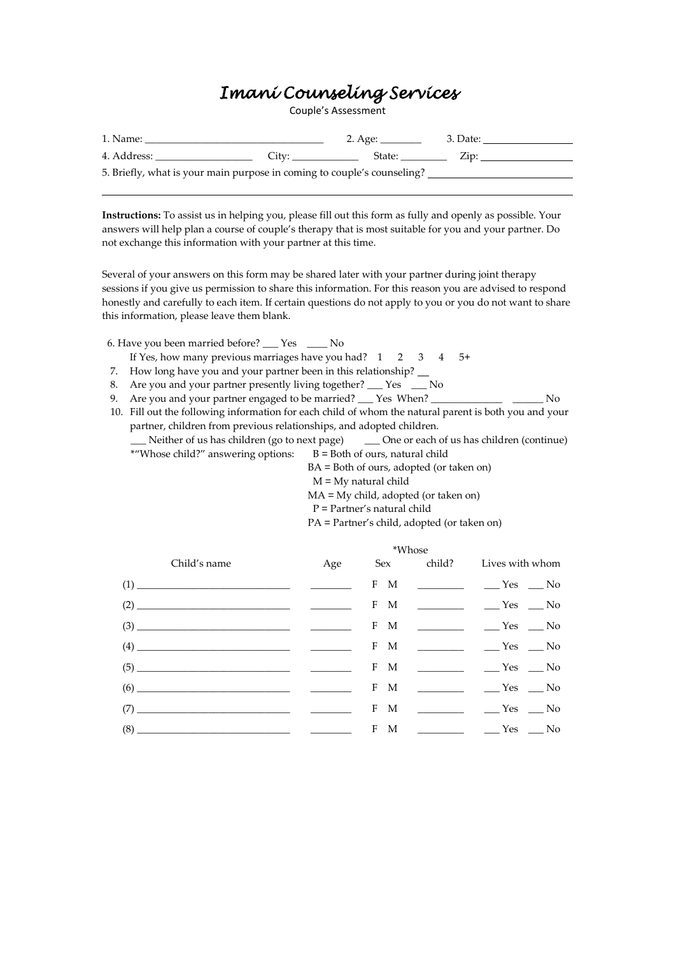# *Imani Counseling Services*

Couple's Assessment

| 1. Name:                                                                |       | 2. Age: _______ | 3. Date: |
|-------------------------------------------------------------------------|-------|-----------------|----------|
| 4. Address:                                                             | City: | State:          | Zip:     |
| 5. Briefly, what is your main purpose in coming to couple's counseling? |       |                 |          |

**Instructions:** To assist us in helping you, please fill out this form as fully and openly as possible. Your answers will help plan a course of couple's therapy that is most suitable for you and your partner. Do not exchange this information with your partner at this time.

Several of your answers on this form may be shared later with your partner during joint therapy sessions if you give us permission to share this information. For this reason you are advised to respond honestly and carefully to each item. If certain questions do not apply to you or you do not want to share this information, please leave them blank.

- 6. Have you been married before? \_\_\_ Yes \_\_\_\_ No If Yes, how many previous marriages have you had?  $1 \quad 2 \quad 3 \quad 4 \quad 5+$
- 7. How long have you and your partner been in this relationship?
- 8. Are you and your partner presently living together? \_\_\_ Yes \_\_\_ No
- 9. Are you and your partner engaged to be married? \_\_\_ Yes When? \_\_\_\_\_\_\_\_\_\_\_\_\_\_\_\_
- 10. Fill out the following information for each child of whom the natural parent is both you and your partner, children from previous relationships, and adopted children.

\_\_\_ Neither of us has children (go to next page) \_\_\_ One or each of us has children (continue) \*"Whose child?" answering options:  $B = Both of ours, natural child$ 

BA = Both of ours, adopted (or taken on)

 $M = My$  natural child

MA = My child, adopted (or taken on)

P = Partner's natural child

PA = Partner's child, adopted (or taken on)

|                                                                                                                                                                                                                                                                                                                                                                                                                                                                               |  | *Whose |                                   |
|-------------------------------------------------------------------------------------------------------------------------------------------------------------------------------------------------------------------------------------------------------------------------------------------------------------------------------------------------------------------------------------------------------------------------------------------------------------------------------|--|--------|-----------------------------------|
| Child's name Age Sex child? Lives with whom                                                                                                                                                                                                                                                                                                                                                                                                                                   |  |        |                                   |
|                                                                                                                                                                                                                                                                                                                                                                                                                                                                               |  |        | F M __________ ____Yes ___No      |
| $(2) \begin{tabular}{c} \hline \rule[1ex]{1ex}{1ex} \multicolumn{3}{c}{} & \multicolumn{3}{c}{} \multicolumn{3}{c}{} \multicolumn{3}{c}{} \multicolumn{3}{c}{} \multicolumn{3}{c}{} \multicolumn{3}{c}{} \multicolumn{3}{c}{} \multicolumn{3}{c}{} \multicolumn{3}{c}{} \multicolumn{3}{c}{} \multicolumn{3}{c}{} \multicolumn{3}{c}{} \multicolumn{3}{c}{} \multicolumn{3}{c}{} \multicolumn{3}{c}{} \multicolumn{3}{c}{} \multicolumn{3}{c}{} \multicolumn{3}{c}{} \multic$ |  |        | $F$ M ___________ _____Yes ___No  |
|                                                                                                                                                                                                                                                                                                                                                                                                                                                                               |  |        | $F$ M ____________ _____Yes ___No |
| $\hspace{2.5cm} (4) \hspace{2.5cm} \overbrace{\hspace{2.5cm} \hspace{2.5cm} \hspace{2.5cm} } \hspace{2.5cm} \hspace{2.5cm} \overbrace{\hspace{2.5cm} \hspace{2.5cm} \hspace{2.5cm} } \hspace{2.5cm} \hspace{2.5cm} \overbrace{\hspace{2.5cm} \hspace{2.5cm} \hspace{2.5cm} } \hspace{2.5cm} \overbrace{\hspace{2.5cm} \hspace{2.5cm} \hspace{2.5cm} } \hspace{2.5cm} \overbrace{\hspace{2.5cm} \hspace{2.5cm}$                                                                |  |        | $F$ M ___________ _____Yes ___No  |
|                                                                                                                                                                                                                                                                                                                                                                                                                                                                               |  |        | $F$ M ___________ _____Yes ___No  |
| $(6) \begin{tabular}{l} \hline \rule[1em]{1em}{1em} \rule[1em]{1em}{1em} \rule[1em]{1em}{1em} \rule[1em]{1em}{1em} \rule[1em]{1em}{1em} \rule[1em]{1em}{1em} \rule[1em]{1em}{1em} \rule[1em]{1em}{1em} \rule[1em]{1em}{1em} \rule[1em]{1em}{1em} \rule[1em]{1em}{1em} \rule[1em]{1em}{1em} \rule[1em]{1em}{1em} \rule[1em]{1em}{1em} \rule[1em]{1em}{1em} \rule[1em]{1em}{1em} \rule[1em]{1em}{1em} \rule$                                                                    |  |        | $F$ M ___________ _____Yes ___No  |
|                                                                                                                                                                                                                                                                                                                                                                                                                                                                               |  |        |                                   |
|                                                                                                                                                                                                                                                                                                                                                                                                                                                                               |  |        | $F$ M ___________ ____Yes ___No   |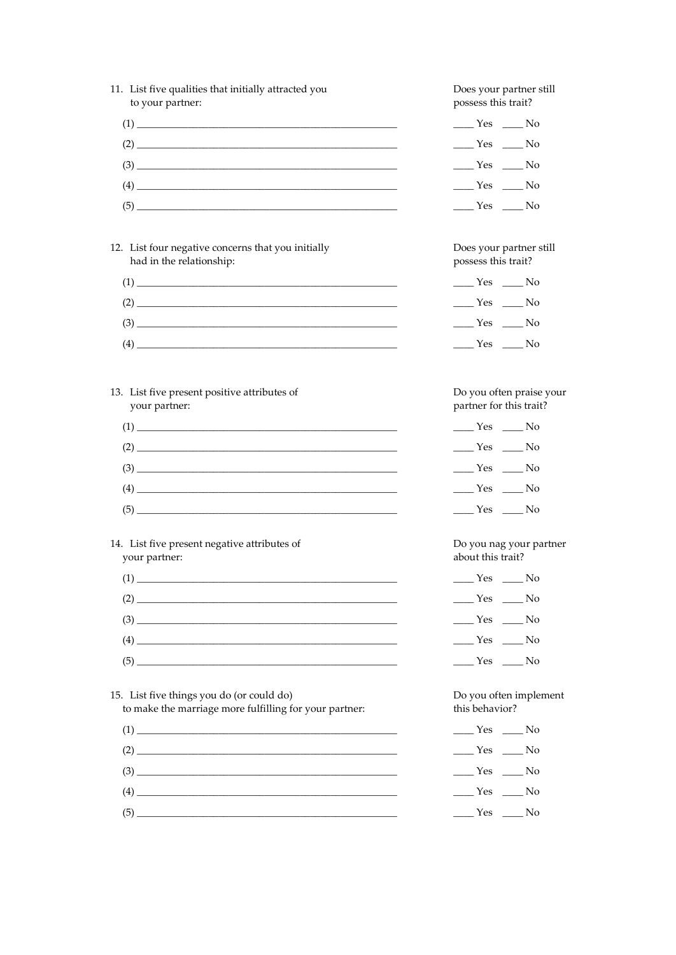| 11. List five qualities that initially attracted you |
|------------------------------------------------------|
| to your partner:                                     |
| (1)                                                  |

|--|

| (3)            |  |  |
|----------------|--|--|
| $\overline{A}$ |  |  |

- $(5)$   $\overline{\phantom{a}}$
- 12. List four negative concerns that you initially had in the relationship:

| (1) |     |  |  |
|-----|-----|--|--|
|     | (2) |  |  |
| (3) |     |  |  |
| (4) |     |  |  |

13. List five present positive attributes of your partner:

| (1) |  |  |
|-----|--|--|
|     |  |  |
|     |  |  |
|     |  |  |
|     |  |  |
|     |  |  |

14. List five present negative attributes of your partner:

| $\left(4\right)$ |  |  |
|------------------|--|--|
|                  |  |  |
|                  |  |  |

15. List five things you do (or could do) to make the marriage more fulfilling for your partner:

 $(1) \begin{tabular}{l} \hline \rule[1pt]{1em}{1.2pt} \multicolumn{1}{c}{} & \multicolumn{1}{c}{} & \multicolumn{1}{c}{} \\ \multicolumn{1}{c}{} & \multicolumn{1}{c}{} & \multicolumn{1}{c}{} & \multicolumn{1}{c}{} \\ \multicolumn{1}{c}{} & \multicolumn{1}{c}{} & \multicolumn{1}{c}{} & \multicolumn{1}{c}{} \\ \multicolumn{1}{c}{} & \multicolumn{1}{c}{} & \multicolumn{1}{c}{} & \multicolumn{1}{c}{} \\ \multicolumn{1}{c}{} & \multicolumn{1}{c}{} & \multicolumn{$  $(2) \qquad \qquad \overbrace{\qquad \qquad }^{(2)}$  $(3) \qquad \qquad \overbrace{\qquad \qquad }^{(3)}$  $\qquad \qquad (4) \qquad \qquad \overbrace{\qquad \qquad }^{(4)}$ 

Does your partner still possess this trait?

| Yes | No |
|-----|----|
| Yes | No |
| Yes | No |
| Yes | No |
| Yes | No |

Does your partner still possess this trait?

| Yes | No |
|-----|----|
| Yes | No |
| Yes | No |
| Yes | No |

Do you often praise your partner for this trait?

| Yes | No |
|-----|----|
| Yes | No |
| Yes | No |
| Yes | No |
| Yes | No |

Do you nag your partner about this trait?

| Yes | No |
|-----|----|
| Yes | No |
| Yes | No |
| Yes | No |
| Yes | No |

Do you often implement this behavior?

| Yes | No |
|-----|----|
| Yes | No |
| Yes | No |
| Yes | No |
| Yes | No |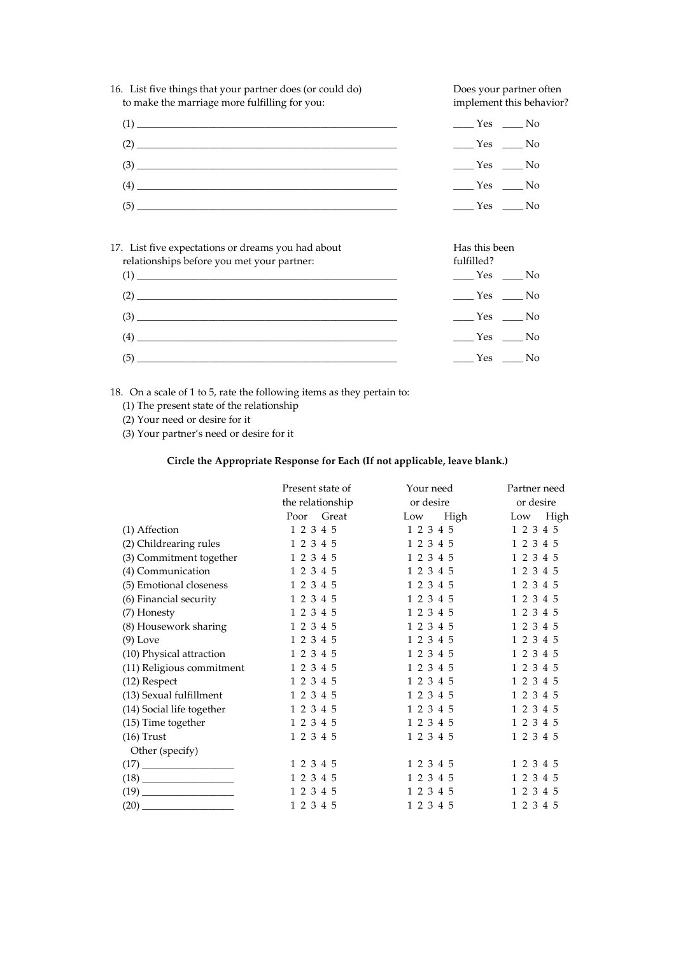

| $\alpha$ . List live expectations of diealits you had about<br>relationships before you met your partner: | TIAS UIIS DUCIT<br>fulfilled?                    |
|-----------------------------------------------------------------------------------------------------------|--------------------------------------------------|
|                                                                                                           | $\rule{1em}{0.15mm}$ Yes $\rule{1em}{0.15mm}$ No |
|                                                                                                           | $\rule{1em}{0.15mm}$ Yes $\rule{1em}{0.15mm}$ No |
|                                                                                                           | $\rule{1em}{0.15mm}$ Yes $\rule{1em}{0.15mm}$ No |
|                                                                                                           | $Yes$ No                                         |
|                                                                                                           | $Yes$ No                                         |

18. On a scale of 1 to 5, rate the following items as they pertain to:

(1) The present state of the relationship

(2) Your need or desire for it

(3) Your partner's need or desire for it

# **Circle the Appropriate Response for Each (If not applicable, leave blank.)**

|                           | Present state of | Your need   | Partner need |  |  |  |  |
|---------------------------|------------------|-------------|--------------|--|--|--|--|
|                           | the relationship | or desire   | or desire    |  |  |  |  |
|                           | Poor Great       | High<br>Low | High<br>Low  |  |  |  |  |
| $(1)$ Affection           | 1 2 3 4 5        | 1 2 3 4 5   | 1 2 3 4 5    |  |  |  |  |
| (2) Childrearing rules    | 1 2 3 4 5        | 1 2 3 4 5   | 1 2 3 4 5    |  |  |  |  |
| (3) Commitment together   | 1 2 3 4 5        | 1 2 3 4 5   | 1 2 3 4 5    |  |  |  |  |
| (4) Communication         | 1 2 3 4 5        | 1 2 3 4 5   | 1 2 3 4 5    |  |  |  |  |
| (5) Emotional closeness   | 1 2 3 4 5        | 1 2 3 4 5   | 1 2 3 4 5    |  |  |  |  |
| (6) Financial security    | 1 2 3 4 5        | 1 2 3 4 5   | 1 2 3 4 5    |  |  |  |  |
| (7) Honesty               | 1 2 3 4 5        | 1 2 3 4 5   | 1 2 3 4 5    |  |  |  |  |
| (8) Housework sharing     | 1 2 3 4 5        | 1 2 3 4 5   | 1 2 3 4 5    |  |  |  |  |
| $(9)$ Love                | 1 2 3 4 5        | 1 2 3 4 5   | 1 2 3 4 5    |  |  |  |  |
| (10) Physical attraction  | 1 2 3 4 5        | 1 2 3 4 5   | 1 2 3 4 5    |  |  |  |  |
| (11) Religious commitment | 1 2 3 4 5        | 1 2 3 4 5   | 1 2 3 4 5    |  |  |  |  |
| (12) Respect              | 1 2 3 4 5        | 1 2 3 4 5   | 1 2 3 4 5    |  |  |  |  |
| (13) Sexual fulfillment   | 1 2 3 4 5        | 1 2 3 4 5   | 1 2 3 4 5    |  |  |  |  |
| (14) Social life together | 1 2 3 4 5        | 1 2 3 4 5   | 1 2 3 4 5    |  |  |  |  |
| (15) Time together        | 1 2 3 4 5        | 1 2 3 4 5   | 1 2 3 4 5    |  |  |  |  |
| $(16)$ Trust              | 1 2 3 4 5        | 1 2 3 4 5   | 1 2 3 4 5    |  |  |  |  |
| Other (specify)           |                  |             |              |  |  |  |  |
|                           | 1 2 3 4 5        | 1 2 3 4 5   | 1 2 3 4 5    |  |  |  |  |
|                           | 1 2 3 4 5        | 1 2 3 4 5   | 1 2 3 4 5    |  |  |  |  |
|                           | 1 2 3 4 5        | 1 2 3 4 5   | 1 2 3 4 5    |  |  |  |  |
|                           | 1 2 3 4 5        | 1 2 3 4 5   | 1 2 3 4 5    |  |  |  |  |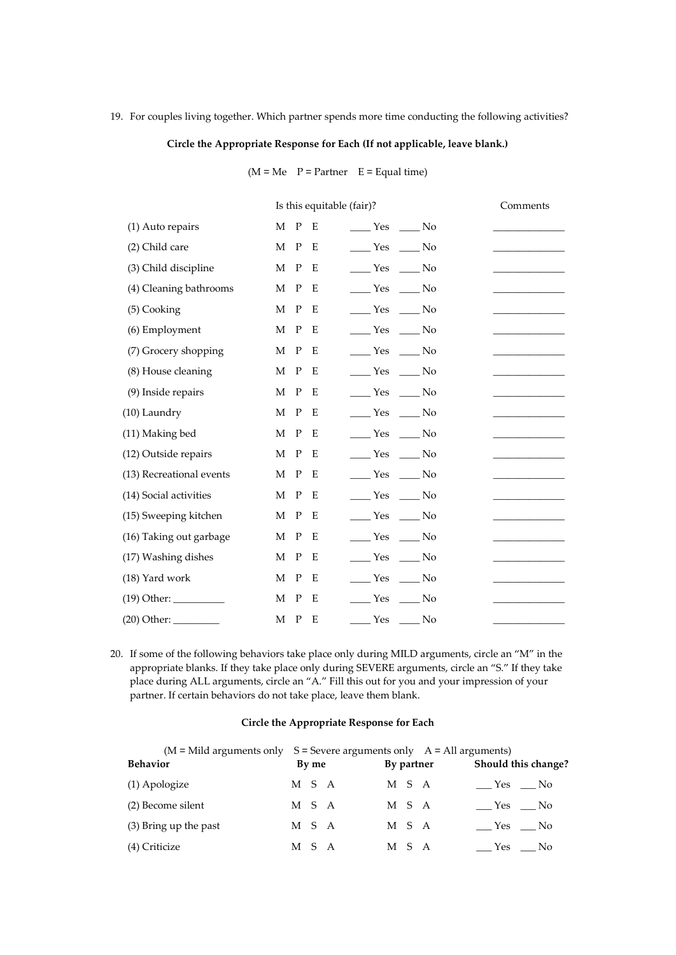# 19. For couples living together. Which partner spends more time conducting the following activities?

# **Circle the Appropriate Response for Each (If not applicable, leave blank.)**

 $(M = Me \ P = Partner \ E = Equal time)$ 

|                          | Is this equitable (fair)?                                                  | Comments |
|--------------------------|----------------------------------------------------------------------------|----------|
| (1) Auto repairs         | $\mathbf P$<br>Е<br>М<br>$\rule{1em}{0.15mm}$ Yes $\rule{1em}{0.15mm}$ No  |          |
| (2) Child care           | $\mathbf M$<br>$\mathbf P$<br>$Y$ es<br>$\_\_$ No<br>Ε                     |          |
| (3) Child discipline     | M P<br>$\rule{1em}{0.15mm}$ Yes<br>Ε<br>No.                                |          |
| (4) Cleaning bathrooms   | $\mathbf P$<br>М<br>E<br>Yes<br>$\sim$ No                                  |          |
| (5) Cooking              | $\mathbf P$<br>М<br>No Yes No<br>E                                         |          |
| (6) Employment           | $\mathbf{P}$<br>M<br>E<br>$\rule{1em}{0.15mm}$ Yes $\rule{1em}{0.15mm}$ No |          |
| (7) Grocery shopping     | М<br>$\mathbf P$<br>$\rule{1em}{0.15mm}$ Yes $\rule{1em}{0.15mm}$ No<br>Ε  |          |
| (8) House cleaning       | M P<br>$Yes$ No<br>E                                                       |          |
| (9) Inside repairs       | $\mathbf{P}$<br>М<br>Yes No<br>E                                           |          |
| (10) Laundry             | $\mathbf P$<br>М<br>Ε<br>No Yes No                                         |          |
| (11) Making bed          | $\mathbf P$<br>$\rule{1em}{0.15mm}$ Yes<br>M<br>E<br>No.                   |          |
| (12) Outside repairs     | М<br>$\mathbf P$<br>$Yes$ Mo<br>Ε                                          |          |
| (13) Recreational events | M<br>$\mathbf{P}$<br>$Yes$ No<br>Е                                         |          |
| (14) Social activities   | $\mathbf{P}$<br>$Yes$ No<br>М<br>Ε                                         |          |
| (15) Sweeping kitchen    | $\mathbf P$<br>М<br>Ε<br>____ Yes ____ No                                  |          |
| (16) Taking out garbage  | $\rule{1em}{0.15mm}$ Yes<br>М<br>$\mathbf P$<br>$\_\_$ No<br>Ε             |          |
| (17) Washing dishes      | М<br>P<br>$\rule{1em}{0.15mm}$ Yes<br>Е<br>$\_\_$ No                       |          |
| (18) Yard work           | М<br>$\mathbf P$<br>$Yes$ No<br>Е                                          |          |
|                          | $\mathbf{P}$<br>E<br>$Yes$ No<br>М                                         |          |
|                          | $\mathbf{P}$<br>M<br>Е<br>____ Yes ____ No                                 |          |
|                          |                                                                            |          |

20. If some of the following behaviors take place only during MILD arguments, circle an "M" in the appropriate blanks. If they take place only during SEVERE arguments, circle an "S." If they take place during ALL arguments, circle an "A." Fill this out for you and your impression of your partner. If certain behaviors do not take place, leave them blank.

### **Circle the Appropriate Response for Each**

| $(M = Mild\ arguments\ only\ S = \text{Severe arguments only}\ A = All arguments)$ |       |            |                     |
|------------------------------------------------------------------------------------|-------|------------|---------------------|
| <b>Behavior</b>                                                                    | By me | By partner | Should this change? |
| (1) Apologize                                                                      | M S A | M S A      | Yes No              |
| (2) Become silent                                                                  | M S A | M S A      | Yes No              |
| (3) Bring up the past                                                              | M S A | M S A      | Yes No              |
| (4) Criticize                                                                      | M S A | M S A      | Yes No              |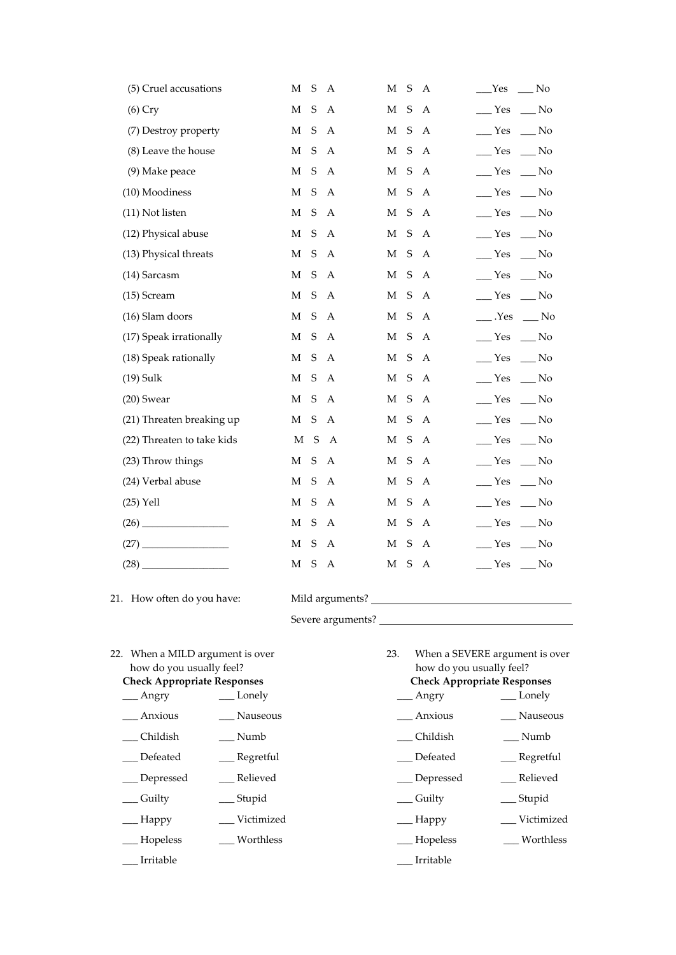| (5) Cruel accusations      | M           | S           | A              | M           | $\mathsf S$ | A            | <b>Yes</b><br>No                       |
|----------------------------|-------------|-------------|----------------|-------------|-------------|--------------|----------------------------------------|
| $(6)$ Cry                  | М           | S           | $\overline{A}$ | M           | $\mathsf S$ | A            | $Y$ es<br>$\sqrt{N}$                   |
| (7) Destroy property       | M           | S           | A              | M           | S           | A            | $Y$ es<br>$\sqrt{N}$                   |
| (8) Leave the house        | M           | S           | A              | М           | $\mathsf S$ | A            | Yes<br>$\sqrt{N}$                      |
| (9) Make peace             | $\mathbf M$ | S           | A              | М           | S           | A            | $\equiv$ Yes<br>$\_\_$ No              |
| (10) Moodiness             | M           | S           | $\mathbf{A}$   | M           | S           | $\mathbf{A}$ | $\mathbb{Z}$ Yes<br>$\equiv$ No        |
| (11) Not listen            | M           | S           | $\mathbf{A}$   | M           | S           | $\mathbf{A}$ | $\mathbf{Yes}$<br>$\sqrt{N}$           |
| (12) Physical abuse        | М           | S           | A              | М           | S           | A            | $\_\$ Yes<br>$\equiv$ No               |
| (13) Physical threats      | M           | S           | $\mathbf{A}$   | М           | $\mathsf S$ | A            | $Y$ es<br>$\sqrt{N}$                   |
| (14) Sarcasm               | M           | $\mathbf S$ | A              | М           | S           | A            | $\_\_\$ Yes<br>$\equiv$ No             |
| (15) Scream                | М           | S           | A              | M           | ${\sf S}$   | A            | $\equiv$ Yes<br>$\equiv$ No            |
| (16) Slam doors            | M           | $\mathsf S$ | $\mathbf{A}$   | М           | S           | $\mathbf{A}$ | $\_\_$ . Yes<br>$\_\_$ No              |
| (17) Speak irrationally    | М           | S           | A              | М           | ${\sf S}$   | A            | $\_\_\$ Yes<br>$\equiv$ No             |
| (18) Speak rationally      | M           | S           | A              | M           | $\mathsf S$ | A            | $\_\_\$ Yes<br>$\equiv$ No             |
| $(19)$ Sulk                | M           | S           | A              | М           | S           | A            | $\_\_\$ Yes<br>$\_\_$ No               |
| $(20)$ Swear               | M           | S           | A              | $\mathbf M$ | ${\sf S}$   | A            | $\rule{1em}{0.15mm}$ Yes<br>$\sqrt{N}$ |
| (21) Threaten breaking up  | М           | S           | A              | M           | S           | A            | $\frac{\ }{1}$ Yes<br>$\equiv$ No      |
| (22) Threaten to take kids | $\mathbf M$ | S           | $\mathbf{A}$   | М           | S           | A            | $\equiv$ Yes<br>$\equiv$ No            |
| (23) Throw things          | М           | S           | A              | М           | ${\sf S}$   | $\mathbf{A}$ | $\_\_\$ Yes<br>$\equiv$ No             |
| (24) Verbal abuse          | М           | S           | A              | М           | ${\sf S}$   | A            | $\frac{\ }{1}$ Yes<br>$\equiv$ No      |
| $(25)$ Yell                | М           | S           | A              | М           | S           | A            | $\_\_$ Yes<br>$\equiv$ No              |
|                            | М           | S           | A              | М           | S           | A            | $\_\_$ Yes<br>$\equiv$ No              |
|                            | М           | S           | A              | М           | S           | A            | Yes<br>$\equiv$ No                     |
| (28)                       | М           | S           | Α              | М           | S           | A            | $\mathbb{Z}$ Yes<br>$\equiv$ No        |

21. How often do you have: Mild arguments?

Severe arguments?

22. When a MILD argument is over 23. When a SEVERE argument is over how do you usually feel? how do you usually feel?

- \_\_\_ Anxious \_\_\_ Nauseous \_\_\_ Anxious \_\_\_ Nauseous
- \_\_\_ Childish \_\_\_ Numb \_\_\_ Childish \_\_\_ Numb
- \_\_\_ Defeated \_\_\_ Regretful \_\_\_ Defeated \_\_\_ Regretful
- \_\_\_ Depressed \_\_\_ Relieved \_\_\_ Depressed \_\_\_ Relieved
- \_\_ Guilty \_\_\_\_ Stupid \_\_\_ Guilty \_\_\_ Guilty \_\_\_ Stupid
- \_\_ Happy \_\_\_\_ Victimized \_\_\_\_ Happy \_\_\_\_ Victimized
- \_\_\_ Hopeless \_\_\_ Worthless \_\_\_ Hopeless \_\_\_ Worthless
- \_\_\_ Irritable \_\_\_ Irritable
- **Check Appropriate Responses Check Appropriate Responses**
- \_\_\_ Angry \_\_\_ \_\_ Lonely \_\_\_\_ \_\_\_ Angry \_\_\_\_ Lonely
	-
	-
	-
	-
	-
	-
	-
	-
	-